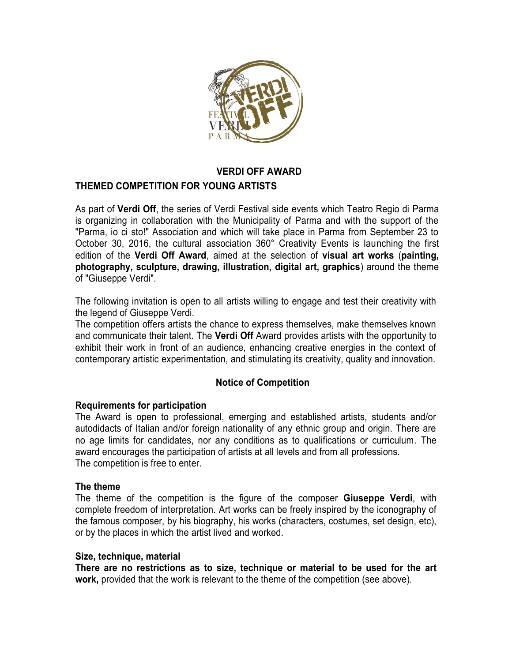

### **VERDI OFF AWARD**

# **THEMED COMPETITION FOR YOUNG ARTISTS**

As part of **Verdi Off**, the series of Verdi Festival side events which Teatro Regio di Parma is organizing in collaboration with the Municipality of Parma and with the support of the "Parma, io ci sto!" Association and which will take place in Parma from September 23 to October 30, 2016, the cultural association 360° Creativity Events is launching the first edition of the **Verdi Off Award**, aimed at the selection of **visual art works** (**painting, photography, sculpture, drawing, illustration, digital art, graphics**) around the theme of "Giuseppe Verdi".

The following invitation is open to all artists willing to engage and test their creativity with the legend of Giuseppe Verdi.

The competition offers artists the chance to express themselves, make themselves known and communicate their talent. The **Verdi Off** Award provides artists with the opportunity to exhibit their work in front of an audience, enhancing creative energies in the context of contemporary artistic experimentation, and stimulating its creativity, quality and innovation.

# **Notice of Competition**

### **Requirements for participation**

The Award is open to professional, emerging and established artists, students and/or autodidacts of Italian and/or foreign nationality of any ethnic group and origin. There are no age limits for candidates, nor any conditions as to qualifications or curriculum. The award encourages the participation of artists at all levels and from all professions. The competition is free to enter.

#### **The theme**

The theme of the competition is the figure of the composer **Giuseppe Verdi**, with complete freedom of interpretation. Art works can be freely inspired by the iconography of the famous composer, by his biography, his works (characters, costumes, set design, etc), or by the places in which the artist lived and worked.

#### **Size, technique, material**

**There are no restrictions as to size, technique or material to be used for the art work,** provided that the work is relevant to the theme of the competition (see above).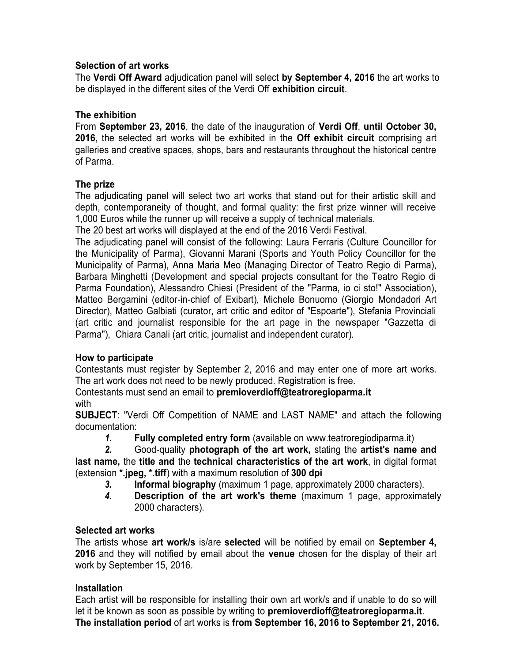# **Selection of art works**

The **Verdi Off Award** adjudication panel will select **by September 4, 2016** the art works to be displayed in the different sites of the Verdi Off **exhibition circuit**.

### **The exhibition**

From **September 23, 2016**, the date of the inauguration of **Verdi Off**, **until October 30, 2016**, the selected art works will be exhibited in the **Off exhibit circuit** comprising art galleries and creative spaces, shops, bars and restaurants throughout the historical centre of Parma.

# **The prize**

The adjudicating panel will select two art works that stand out for their artistic skill and depth, contemporaneity of thought, and formal quality: the first prize winner will receive 1,000 Euros while the runner up will receive a supply of technical materials.

The 20 best art works will displayed at the end of the 2016 Verdi Festival.

The adjudicating panel will consist of the following: Laura Ferraris (Culture Councillor for the Municipality of Parma), Giovanni Marani (Sports and Youth Policy Councillor for the Municipality of Parma), Anna Maria Meo (Managing Director of Teatro Regio di Parma), Barbara Minghetti (Development and special projects consultant for the Teatro Regio di Parma Foundation), Alessandro Chiesi (President of the "Parma, io ci sto!" Association), Matteo Bergamini (editor-in-chief of Exibart), Michele Bonuomo (Giorgio Mondadori Art Director), Matteo Galbiati (curator, art critic and editor of "Espoarte"), Stefania Provinciali (art critic and journalist responsible for the art page in the newspaper "Gazzetta di Parma"), Chiara Canali (art critic, journalist and independent curator).

# **How to participate**

Contestants must register by September 2, 2016 and may enter one of more art works. The art work does not need to be newly produced. Registration is free.

Contestants must send an email to **premioverdioff@teatroregioparma.it** with

**SUBJECT**: "Verdi Off Competition of NAME and LAST NAME" and attach the following documentation:

*1.* **Fully completed entry form** (available on www.teatroregiodiparma.it)

*2.* Good-quality **photograph of the art work,** stating the **artist's name and last name,** the **title and** the **technical characteristics of the art work**, in digital format (extension **\*.jpeg, \*.tiff**) with a maximum resolution of **300 dpi**

- *3.* **Informal biography** (maximum 1 page, approximately 2000 characters).
- *4.* **Description of the art work's theme** (maximum 1 page, approximately 2000 characters).

# **Selected art works**

The artists whose **art work/s** is/are **selected** will be notified by email on **September 4, 2016** and they will notified by email about the **venue** chosen for the display of their art work by September 15, 2016.

# **Installation**

Each artist will be responsible for installing their own art work/s and if unable to do so will let it be known as soon as possible by writing to **premioverdioff@teatroregioparma.it**. **The installation period** of art works is **from September 16, 2016 to September 21, 2016.**